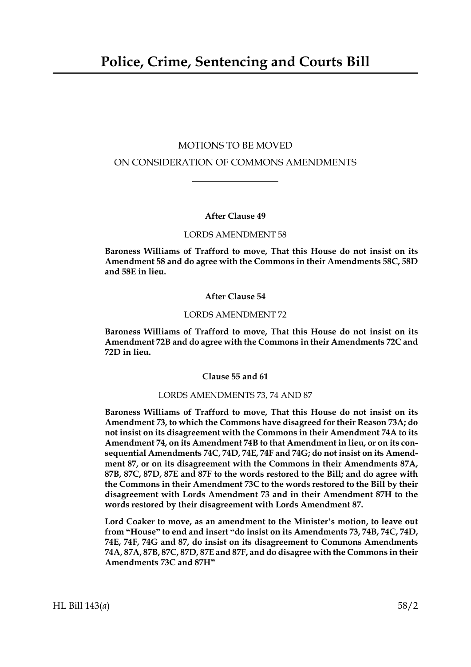# MOTIONS TO BE MOVED ON CONSIDERATION OF COMMONS AMENDMENTS

# **After Clause 49**

### LORDS AMENDMENT 58

**Baroness Williams of Trafford to move, That this House do not insist on its Amendment 58 and do agree with the Commons in their Amendments 58C, 58D and 58E in lieu.**

# **After Clause 54**

### LORDS AMENDMENT 72

**Baroness Williams of Trafford to move, That this House do not insist on its Amendment 72B and do agree with the Commons in their Amendments 72C and 72D in lieu.**

**Clause 55 and 61**

### LORDS AMENDMENTS 73, 74 AND 87

**Baroness Williams of Trafford to move, That this House do not insist on its Amendment 73, to which the Commons have disagreed for their Reason 73A; do not insist on its disagreement with the Commons in their Amendment 74A to its Amendment 74, on its Amendment 74B to that Amendment in lieu, or on its consequential Amendments 74C, 74D, 74E, 74F and 74G; do not insist on its Amendment 87, or on its disagreement with the Commons in their Amendments 87A, 87B, 87C, 87D, 87E and 87F to the words restored to the Bill; and do agree with the Commons in their Amendment 73C to the words restored to the Bill by their disagreement with Lords Amendment 73 and in their Amendment 87H to the words restored by their disagreement with Lords Amendment 87.**

**Lord Coaker to move, as an amendment to the Minister's motion, to leave out from "House" to end and insert "do insist on its Amendments 73, 74B, 74C, 74D, 74E, 74F, 74G and 87, do insist on its disagreement to Commons Amendments 74A, 87A, 87B, 87C, 87D, 87E and 87F, and do disagree with the Commons in their Amendments 73C and 87H"**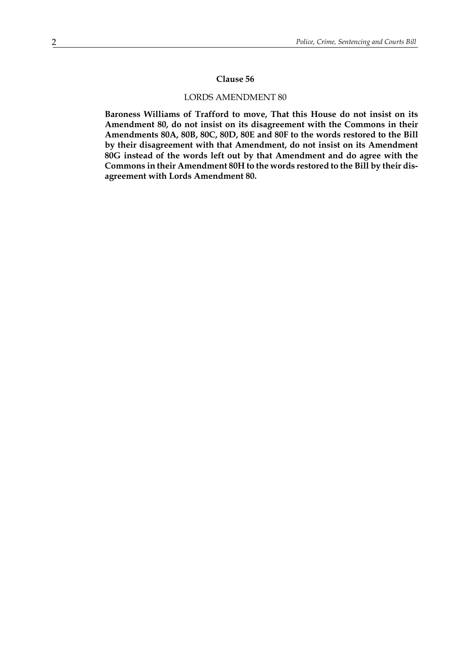#### **Clause 56**

### LORDS AMENDMENT 80

**Baroness Williams of Trafford to move, That this House do not insist on its Amendment 80, do not insist on its disagreement with the Commons in their Amendments 80A, 80B, 80C, 80D, 80E and 80F to the words restored to the Bill by their disagreement with that Amendment, do not insist on its Amendment 80G instead of the words left out by that Amendment and do agree with the Commons in their Amendment 80H to the words restored to the Bill by their disagreement with Lords Amendment 80.**